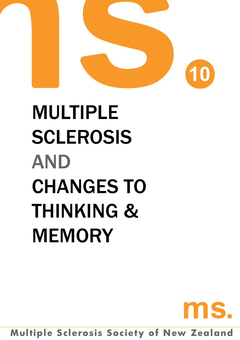

# Multiple **SCLEROSIS AND** CHANGES TO THINKING & MEMORY

**Multiple Sclerosis Society of New Zealand**

MS.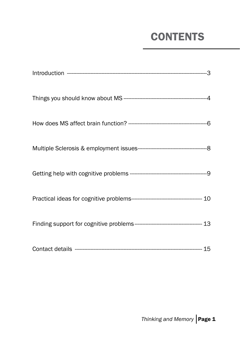### **CONTENTS**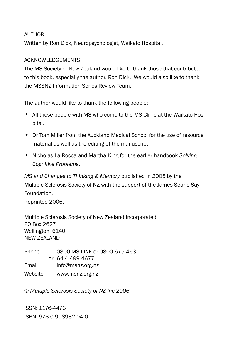#### **AUTHOR**

Written by Ron Dick, Neuropsychologist, Waikato Hospital.

#### Acknowledgements

The MS Society of New Zealand would like to thank those that contributed to this book, especially the author, Ron Dick. We would also like to thank the MSSNZ Information Series Review Team.

The author would like to thank the following people:

- All those people with MS who come to the MS Clinic at the Waikato Hospital.
- Dr Tom Miller from the Auckland Medical School for the use of resource material as well as the editing of the manuscript.
- • Nicholas La Rocca and Martha King for the earlier handbook *Solving Cognitive Problems*.

*MS and Changes to Thinking & Memory* published in 2005 by the Multiple Sclerosis Society of NZ with the support of the James Searle Say Foundation.

Reprinted 2006.

Multiple Sclerosis Society of New Zealand Incorporated PO Box 2627 Wellington 6140 NEW ZEALAND

Phone 0800 MS LINE or 0800 675 463 or 64 4 499 4677 Email info@msnz.org.nz Website www.msnz.org.nz

*© Multiple Sclerosis Society of NZ Inc 2006*

ISSN: 1176-4473 ISBN: 978-0-908982-04-6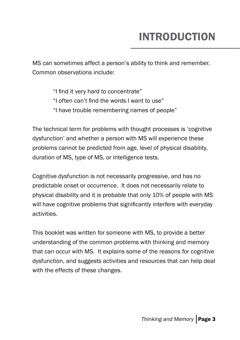# INTRODUCTION

MS can sometimes affect a person's ability to think and remember. Common observations include:

- "I find it very hard to concentrate"
- "I often can't find the words I want to use"
- "I have trouble remembering names of people"

The technical term for problems with thought processes is 'cognitive dysfunction' and whether a person with MS will experience these problems cannot be predicted from age, level of physical disability, duration of MS, type of MS, or intelligence tests.

Cognitive dysfunction is not necessarily progressive, and has no predictable onset or occurrence. It does not necessarily relate to physical disability and it is probable that only 10% of people with MS will have cognitive problems that significantly interfere with everyday activities.

This booklet was written for someone with MS, to provide a better understanding of the common problems with thinking and memory that can occur with MS. It explains some of the reasons for cognitive dysfunction, and suggests activities and resources that can help deal with the effects of these changes.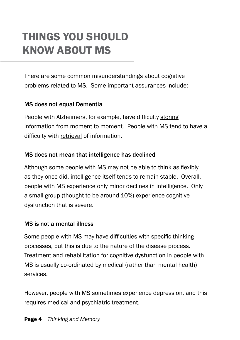# things you should know about ms

There are some common misunderstandings about cognitive problems related to MS. Some important assurances include:

#### MS does not equal Dementia

People with Alzheimers, for example, have difficulty storing information from moment to moment. People with MS tend to have a difficulty with retrieval of information.

#### MS does not mean that intelligence has declined

Although some people with MS may not be able to think as flexibly as they once did, intelligence itself tends to remain stable. Overall, people with MS experience only minor declines in intelligence. Only a small group (thought to be around 10%) experience cognitive dysfunction that is severe.

#### MS is not a mental illness

Some people with MS may have difficulties with specific thinking processes, but this is due to the nature of the disease process. Treatment and rehabilitation for cognitive dysfunction in people with MS is usually co-ordinated by medical (rather than mental health) services.

However, people with MS sometimes experience depression, and this requires medical and psychiatric treatment.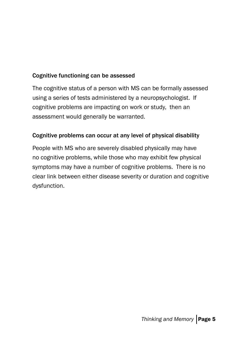#### Cognitive functioning can be assessed

The cognitive status of a person with MS can be formally assessed using a series of tests administered by a neuropsychologist. If cognitive problems are impacting on work or study, then an assessment would generally be warranted.

#### Cognitive problems can occur at any level of physical disability

People with MS who are severely disabled physically may have no cognitive problems, while those who may exhibit few physical symptoms may have a number of cognitive problems. There is no clear link between either disease severity or duration and cognitive dysfunction.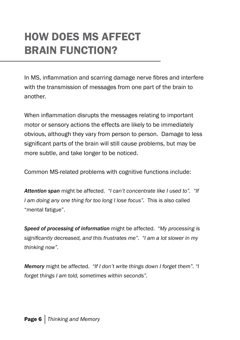### HOW DOES MS AFFECT BRAIN FUNCTION?

In MS, inflammation and scarring damage nerve fibres and interfere with the transmission of messages from one part of the brain to another.

When inflammation disrupts the messages relating to important motor or sensory actions the effects are likely to be immediately obvious, although they vary from person to person. Damage to less significant parts of the brain will still cause problems, but may be more subtle, and take longer to be noticed.

Common MS-related problems with cognitive functions include:

*Attention span* might be affected. *"I can't concentrate like I used to". "If I am doing any one thing for too long I lose focus".* This is also called "mental fatigue".

*Speed of processing of information* might be affected. *"My processing is significantly decreased, and this frustrates me". "I am a lot slower in my thinking now".*

*Memory* might be affected. *"If I don't write things down I forget them". "I forget things I am told, sometimes within seconds".*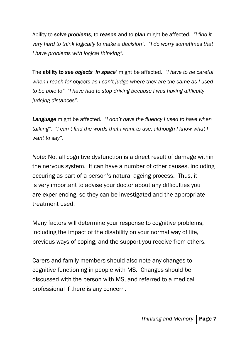Ability to *solve problems*, to *reason* and to *plan* might be affected. *"I find it very hard to think logically to make a decision". "I do worry sometimes that I have problems with logical thinking".*

The ability to *see objects 'in space'* might be affected. *"I have to be careful when I reach for objects as I can't judge where they are the same as I used to be able to". "I have had to stop driving because I was having difficulty judging distances".*

*Language* might be affected. *"I don't have the fluency I used to have when talking". "I can't find the words that I want to use, although I know what I want to say".* 

*Note:* Not all cognitive dysfunction is a direct result of damage within the nervous system. It can have a number of other causes, including occuring as part of a person's natural ageing process. Thus, it is very important to advise your doctor about any difficulties you are experiencing, so they can be investigated and the appropriate treatment used.

Many factors will determine your response to cognitive problems, including the impact of the disability on your normal way of life, previous ways of coping, and the support you receive from others.

Carers and family members should also note any changes to cognitive functioning in people with MS. Changes should be discussed with the person with MS, and referred to a medical professional if there is any concern.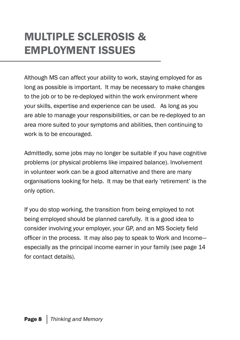# multiple sclerosis & employment issues

Although MS can affect your ability to work, staying employed for as long as possible is important. It may be necessary to make changes to the job or to be re-deployed within the work environment where your skills, expertise and experience can be used. As long as you are able to manage your responsibilities, or can be re-deployed to an area more suited to your symptoms and abilities, then continuing to work is to be encouraged.

Admittedly, some jobs may no longer be suitable if you have cognitive problems (or physical problems like impaired balance). Involvement in volunteer work can be a good alternative and there are many organisations looking for help. It may be that early 'retirement' is the only option.

If you do stop working, the transition from being employed to not being employed should be planned carefully. It is a good idea to consider involving your employer, your GP, and an MS Society field officer in the process. It may also pay to speak to Work and Income especially as the principal income earner in your family (see page 14 for contact details).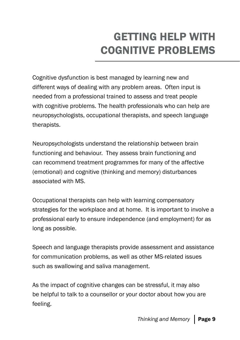# getting help with cognitive problems

Cognitive dysfunction is best managed by learning new and different ways of dealing with any problem areas. Often input is needed from a professional trained to assess and treat people with cognitive problems. The health professionals who can help are neuropsychologists, occupational therapists, and speech language therapists.

Neuropsychologists understand the relationship between brain functioning and behaviour. They assess brain functioning and can recommend treatment programmes for many of the affective (emotional) and cognitive (thinking and memory) disturbances associated with MS.

Occupational therapists can help with learning compensatory strategies for the workplace and at home. It is important to involve a professional early to ensure independence (and employment) for as long as possible.

Speech and language therapists provide assessment and assistance for communication problems, as well as other MS-related issues such as swallowing and saliva management.

As the impact of cognitive changes can be stressful, it may also be helpful to talk to a counsellor or your doctor about how you are feeling.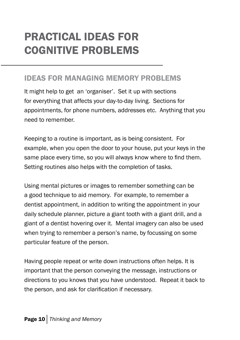# practical ideas for cognitive problems

#### Ideas for managing memory problems

It might help to get an 'organiser'. Set it up with sections for everything that affects your day-to-day living. Sections for appointments, for phone numbers, addresses etc. Anything that you need to remember.

Keeping to a routine is important, as is being consistent. For example, when you open the door to your house, put your keys in the same place every time, so you will always know where to find them. Setting routines also helps with the completion of tasks.

Using mental pictures or images to remember something can be a good technique to aid memory. For example, to remember a dentist appointment, in addition to writing the appointment in your daily schedule planner, picture a giant tooth with a giant drill, and a giant of a dentist hovering over it. Mental imagery can also be used when trying to remember a person's name, by focussing on some particular feature of the person.

Having people repeat or write down instructions often helps. It is important that the person conveying the message, instructions or directions to you knows that you have understood. Repeat it back to the person, and ask for clarification if necessary.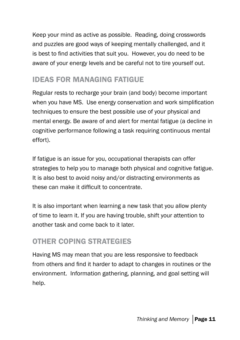Keep your mind as active as possible. Reading, doing crosswords and puzzles are good ways of keeping mentally challenged, and it is best to find activities that suit you. However, you do need to be aware of your energy levels and be careful not to tire yourself out.

### Ideas for managing fatigue

Regular rests to recharge your brain (and body) become important when you have MS. Use energy conservation and work simplification techniques to ensure the best possible use of your physical and mental energy. Be aware of and alert for mental fatigue (a decline in cognitive performance following a task requiring continuous mental effort).

If fatigue is an issue for you, occupational therapists can offer strategies to help you to manage both physical and cognitive fatigue. It is also best to avoid noisy and/or distracting environments as these can make it difficult to concentrate.

It is also important when learning a new task that you allow plenty of time to learn it. If you are having trouble, shift your attention to another task and come back to it later.

### Other coping strategies

Having MS may mean that you are less responsive to feedback from others and find it harder to adapt to changes in routines or the environment. Information gathering, planning, and goal setting will help.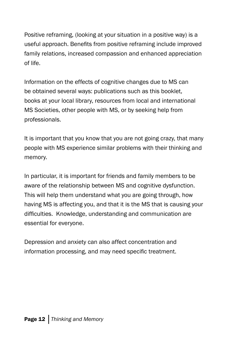Positive reframing, (looking at your situation in a positive way) is a useful approach. Benefits from positive reframing include improved family relations, increased compassion and enhanced appreciation of life.

Information on the effects of cognitive changes due to MS can be obtained several ways: publications such as this booklet, books at your local library, resources from local and international MS Societies, other people with MS, or by seeking help from professionals.

It is important that you know that you are not going crazy, that many people with MS experience similar problems with their thinking and memory.

In particular, it is important for friends and family members to be aware of the relationship between MS and cognitive dysfunction. This will help them understand what you are going through, how having MS is affecting you, and that it is the MS that is causing your difficulties. Knowledge, understanding and communication are essential for everyone.

Depression and anxiety can also affect concentration and information processing, and may need specific treatment.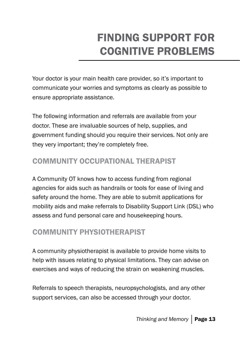# finding SUPPORT for cognitive problems

Your doctor is your main health care provider, so it's important to communicate your worries and symptoms as clearly as possible to ensure appropriate assistance.

The following information and referrals are available from your doctor. These are invaluable sources of help, supplies, and government funding should you require their services. Not only are they very important; they're completely free.

### Community Occupational Therapist

A Community OT knows how to access funding from regional agencies for aids such as handrails or tools for ease of living and safety around the home. They are able to submit applications for mobility aids and make referrals to Disability Support Link (DSL) who assess and fund personal care and housekeeping hours.

### Community Physiotherapist

A community physiotherapist is available to provide home visits to help with issues relating to physical limitations. They can advise on exercises and ways of reducing the strain on weakening muscles.

Referrals to speech therapists, neuropsychologists, and any other support services, can also be accessed through your doctor.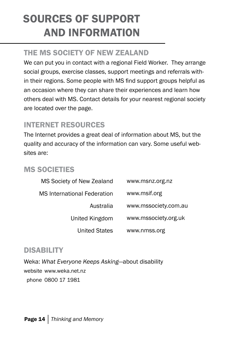# sources of support and information

### the ms society of NEW Zealand

We can put you in contact with a regional Field Worker. They arrange social groups, exercise classes, support meetings and referrals within their regions. Some people with MS find support groups helpful as an occasion where they can share their experiences and learn how others deal with MS. Contact details for your nearest regional society are located over the page.

### INTERNET RESOURCES

The Internet provides a great deal of information about MS, but the quality and accuracy of the information can vary. Some useful websites are:

### MS Societies

| www.msnz.org.nz      | MS Society of New Zealand          |
|----------------------|------------------------------------|
| www.msif.org         | <b>MS</b> International Federation |
| www.mssociety.com.au | Australia                          |
| www.mssociety.org.uk | United Kingdom                     |
| www.nmss.org         | <b>United States</b>               |

#### **DISABILITY**

Weka: *What Everyone Keeps Asking*—about disability website www.weka.net.nz phone 0800 17 1981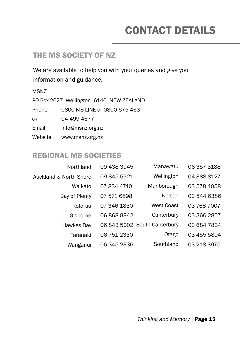# CONTACT DETAILS

#### the ms society OF NZ

We are available to help you with your queries and give you information and guidance.

MSNZ

PO Box 2627 Wellington 6140 NEW ZEALAND Phone 0800 MS LINE or 0800 675 463 or 04 499 4677 Email info@msnz.org.nz Website www.msnz.org.nz

#### REGIONAL MS SOCIETIES

| Northland              | 09 438 3945 | Manawatu                     | 06 357 3188 |
|------------------------|-------------|------------------------------|-------------|
| Auckland & North Shore | 09 845 5921 | Wellington                   | 04 388 8127 |
| Waikato                | 07 834 4740 | Marlborough                  | 03 578 4058 |
| Bay of Plenty          | 07 571 6898 | Nelson                       | 03 544 6386 |
| Rotorua                | 07 346 1830 | West Coast                   | 03 768 7007 |
| Gisborne               | 06 868 8842 | Canterbury                   | 03 366 2857 |
| Hawkes Bay             |             | 06 843 5002 South Canterbury | 03 684 7834 |
| Taranaki               | 06 751 2330 | Otago                        | 03 455 5894 |
| Wanganui               | 06 345 2336 | Southland                    | 03 218 3975 |